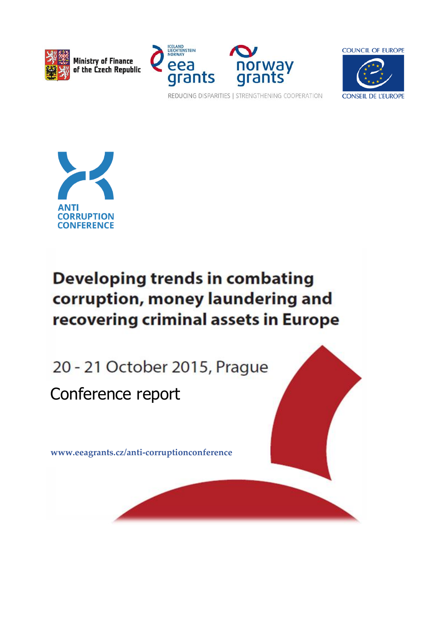

Ministry of Finance<br>of the Czech Republic





REDUCING DISPARITIES | STRENGTHENING COOPERATION



# **Developing trends in combating** corruption, money laundering and recovering criminal assets in Europe

20 - 21 October 2015, Prague Conference report

**[www.eeagrants.cz/anti-corruptionconference](http://www.eeagrants.cz/anti-corruptionconference)**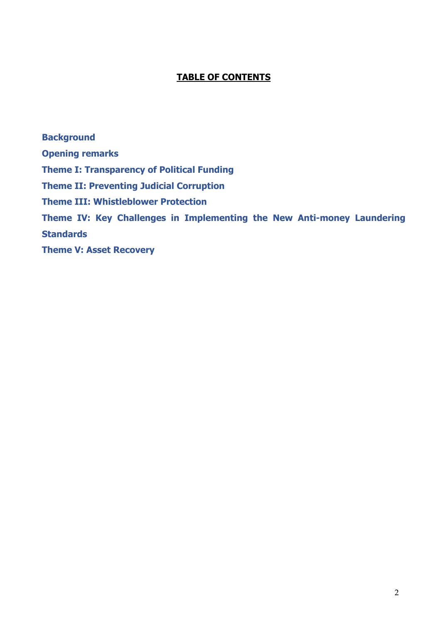## **TABLE OF CONTENTS**

**[Background](#page-2-0) [Opening remarks](#page-2-0) [Theme I: Transparency of Political Funding](#page-4-0) [Theme II: Preventing Judicial Corruption](#page-7-0) [Theme III: Whistleblower Protection](#page-10-0) [Theme IV: Key Challenges in Implementing the New Anti-money Laundering](#page-11-0)  [Standards](#page-11-0) [Theme V: Asset Recovery](#page-13-0)**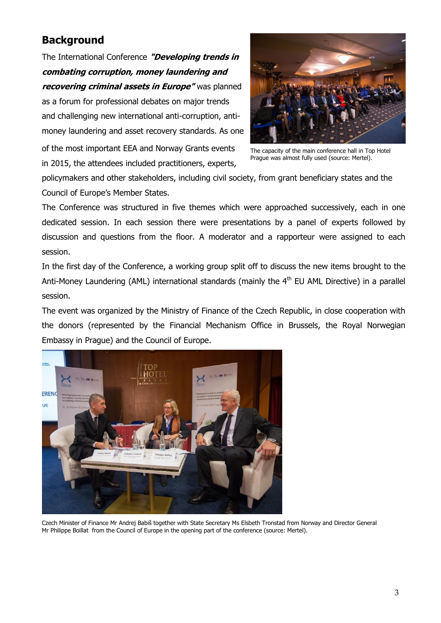## <span id="page-2-0"></span>**Background**

The International Conference **"Developing trends in combating corruption, money laundering and recovering criminal assets in Europe"** was planned as a forum for professional debates on major trends and challenging new international anti-corruption, antimoney laundering and asset recovery standards. As one

of the most important EEA and Norway Grants events in 2015, the attendees included practitioners, experts,



The capacity of the main conference hall in Top Hotel Prague was almost fully used (source: Mertel).

policymakers and other stakeholders, including civil society, from grant beneficiary states and the Council of Europe's Member States.

The Conference was structured in five themes which were approached successively, each in one dedicated session. In each session there were presentations by a panel of experts followed by discussion and questions from the floor. A moderator and a rapporteur were assigned to each session.

In the first day of the Conference, a working group split off to discuss the new items brought to the Anti-Money Laundering (AML) international standards (mainly the 4<sup>th</sup> EU AML Directive) in a parallel session.

The event was organized by the Ministry of Finance of the Czech Republic, in close cooperation with the donors (represented by the Financial Mechanism Office in Brussels, the Royal Norwegian Embassy in Prague) and the Council of Europe.



Czech Minister of Finance Mr Andrej Babiš together with State Secretary Ms Elsbeth Tronstad from Norway and Director General Mr Philippe Boillat from the Council of Europe in the opening part of the conference (source: Mertel).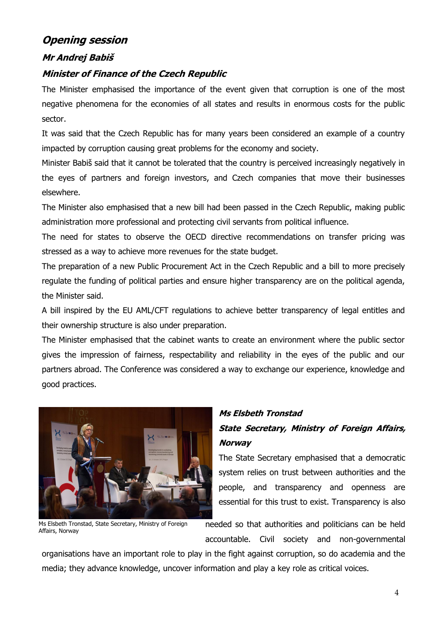## **Opening session**

### **Mr Andrej Babiš**

#### **Minister of Finance of the Czech Republic**

The Minister emphasised the importance of the event given that corruption is one of the most negative phenomena for the economies of all states and results in enormous costs for the public sector.

It was said that the Czech Republic has for many years been considered an example of a country impacted by corruption causing great problems for the economy and society.

Minister Babiš said that it cannot be tolerated that the country is perceived increasingly negatively in the eyes of partners and foreign investors, and Czech companies that move their businesses elsewhere.

The Minister also emphasised that a new bill had been passed in the Czech Republic, making public administration more professional and protecting civil servants from political influence.

The need for states to observe the OECD directive recommendations on transfer pricing was stressed as a way to achieve more revenues for the state budget.

The preparation of a new Public Procurement Act in the Czech Republic and a bill to more precisely regulate the funding of political parties and ensure higher transparency are on the political agenda, the Minister said.

A bill inspired by the EU AML/CFT regulations to achieve better transparency of legal entitles and their ownership structure is also under preparation.

The Minister emphasised that the cabinet wants to create an environment where the public sector gives the impression of fairness, respectability and reliability in the eyes of the public and our partners abroad. The Conference was considered a way to exchange our experience, knowledge and good practices.



### **Ms Elsbeth Tronstad**

## **State Secretary, Ministry of Foreign Affairs, Norway**

The State Secretary emphasised that a democratic system relies on trust between authorities and the people, and transparency and openness are essential for this trust to exist. Transparency is also

Ms Elsbeth Tronstad, State Secretary, Ministry of Foreign Affairs, Norway

needed so that authorities and politicians can be held accountable. Civil society and non-governmental

organisations have an important role to play in the fight against corruption, so do academia and the media; they advance knowledge, uncover information and play a key role as critical voices.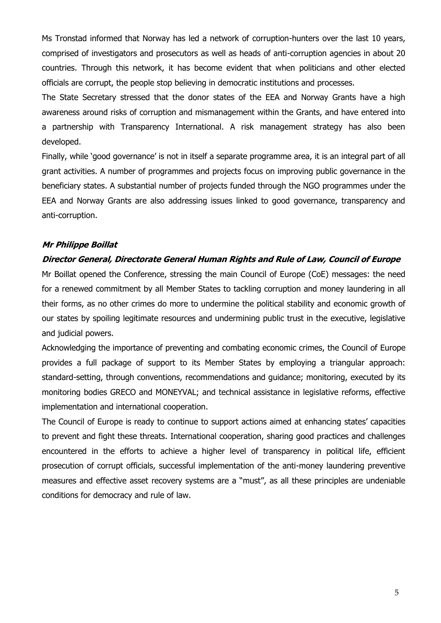Ms Tronstad informed that Norway has led a network of corruption-hunters over the last 10 years, comprised of investigators and prosecutors as well as heads of anti-corruption agencies in about 20 countries. Through this network, it has become evident that when politicians and other elected officials are corrupt, the people stop believing in democratic institutions and processes.

The State Secretary stressed that the donor states of the EEA and Norway Grants have a high awareness around risks of corruption and mismanagement within the Grants, and have entered into a partnership with Transparency International. A risk management strategy has also been developed.

Finally, while 'good governance' is not in itself a separate programme area, it is an integral part of all grant activities. A number of programmes and projects focus on improving public governance in the beneficiary states. A substantial number of projects funded through the NGO programmes under the EEA and Norway Grants are also addressing issues linked to good governance, transparency and anti-corruption.

#### **Mr Philippe Boillat**

#### **Director General, Directorate General Human Rights and Rule of Law, Council of Europe**

Mr Boillat opened the Conference, stressing the main Council of Europe (CoE) messages: the need for a renewed commitment by all Member States to tackling corruption and money laundering in all their forms, as no other crimes do more to undermine the political stability and economic growth of our states by spoiling legitimate resources and undermining public trust in the executive, legislative and judicial powers.

Acknowledging the importance of preventing and combating economic crimes, the Council of Europe provides a full package of support to its Member States by employing a triangular approach: standard-setting, through conventions, recommendations and guidance; monitoring, executed by its monitoring bodies GRECO and MONEYVAL; and technical assistance in legislative reforms, effective implementation and international cooperation.

<span id="page-4-0"></span>The Council of Europe is ready to continue to support actions aimed at enhancing states' capacities to prevent and fight these threats. International cooperation, sharing good practices and challenges encountered in the efforts to achieve a higher level of transparency in political life, efficient prosecution of corrupt officials, successful implementation of the anti-money laundering preventive measures and effective asset recovery systems are a "must", as all these principles are undeniable conditions for democracy and rule of law.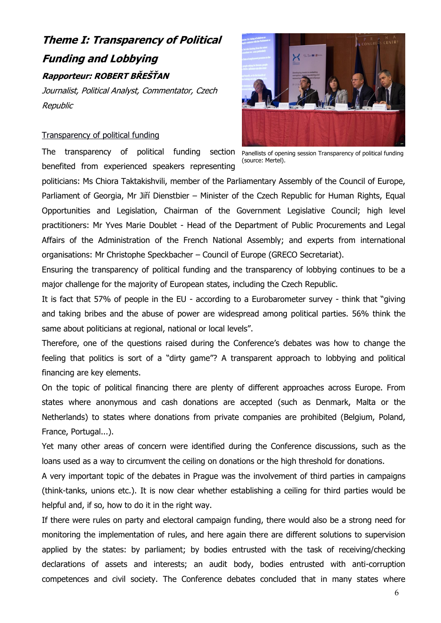## **Theme I: Transparency of Political Funding and Lobbying Rapporteur: ROBERT BŘEŠŤAN**

Journalist, Political Analyst, Commentator, Czech Republic

#### Transparency of political funding

The transparency of political funding section Panellists of opening session Transparency of political funding benefited from experienced speakers representing



(source: Mertel).

politicians: Ms Chiora Taktakishvili, member of the Parliamentary Assembly of the Council of Europe, Parliament of Georgia, Mr Jiří Dienstbier – Minister of the Czech Republic for Human Rights, Equal Opportunities and Legislation, Chairman of the Government Legislative Council; high level practitioners: Mr Yves Marie Doublet - Head of the Department of Public Procurements and Legal Affairs of the Administration of the French National Assembly; and experts from international organisations: Mr Christophe Speckbacher – Council of Europe (GRECO Secretariat).

Ensuring the transparency of political funding and the transparency of lobbying continues to be a major challenge for the majority of European states, including the Czech Republic.

It is fact that 57% of people in the EU - according to a Eurobarometer survey - think that "giving and taking bribes and the abuse of power are widespread among political parties. 56% think the same about politicians at regional, national or local levels".

Therefore, one of the questions raised during the Conference's debates was how to change the feeling that politics is sort of a "dirty game"? A transparent approach to lobbying and political financing are key elements.

On the topic of political financing there are plenty of different approaches across Europe. From states where anonymous and cash donations are accepted (such as Denmark, Malta or the Netherlands) to states where donations from private companies are prohibited (Belgium, Poland, France, Portugal...).

Yet many other areas of concern were identified during the Conference discussions, such as the loans used as a way to circumvent the ceiling on donations or the high threshold for donations.

A very important topic of the debates in Prague was the involvement of third parties in campaigns (think-tanks, unions etc.). It is now clear whether establishing a ceiling for third parties would be helpful and, if so, how to do it in the right way.

If there were rules on party and electoral campaign funding, there would also be a strong need for monitoring the implementation of rules, and here again there are different solutions to supervision applied by the states: by parliament; by bodies entrusted with the task of receiving/checking declarations of assets and interests; an audit body, bodies entrusted with anti-corruption competences and civil society. The Conference debates concluded that in many states where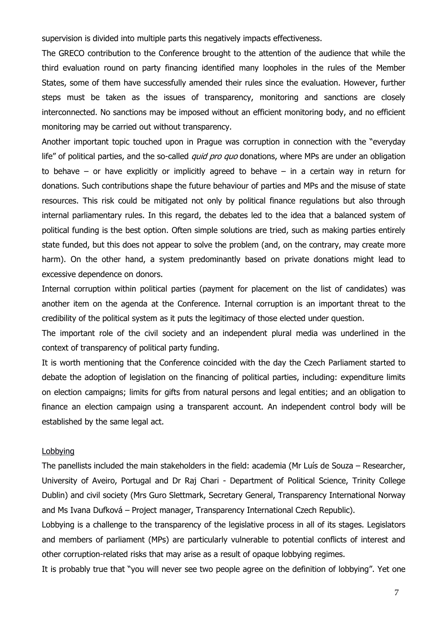supervision is divided into multiple parts this negatively impacts effectiveness.

The GRECO contribution to the Conference brought to the attention of the audience that while the third evaluation round on party financing identified many loopholes in the rules of the Member States, some of them have successfully amended their rules since the evaluation. However, further steps must be taken as the issues of transparency, monitoring and sanctions are closely interconnected. No sanctions may be imposed without an efficient monitoring body, and no efficient monitoring may be carried out without transparency.

Another important topic touched upon in Prague was corruption in connection with the "everyday life" of political parties, and the so-called *quid pro quo* donations, where MPs are under an obligation to behave – or have explicitly or implicitly agreed to behave – in a certain way in return for donations. Such contributions shape the future behaviour of parties and MPs and the misuse of state resources. This risk could be mitigated not only by political finance regulations but also through internal parliamentary rules. In this regard, the debates led to the idea that a balanced system of political funding is the best option. Often simple solutions are tried, such as making parties entirely state funded, but this does not appear to solve the problem (and, on the contrary, may create more harm). On the other hand, a system predominantly based on private donations might lead to excessive dependence on donors.

Internal corruption within political parties (payment for placement on the list of candidates) was another item on the agenda at the Conference. Internal corruption is an important threat to the credibility of the political system as it puts the legitimacy of those elected under question.

The important role of the civil society and an independent plural media was underlined in the context of transparency of political party funding.

It is worth mentioning that the Conference coincided with the day the Czech Parliament started to debate the adoption of legislation on the financing of political parties, including: expenditure limits on election campaigns; limits for gifts from natural persons and legal entities; and an obligation to finance an election campaign using a transparent account. An independent control body will be established by the same legal act.

#### Lobbying

The panellists included the main stakeholders in the field: academia (Mr Luís de Souza – Researcher, University of Aveiro, Portugal and Dr Raj Chari - Department of Political Science, Trinity College Dublin) and civil society (Mrs Guro Slettmark, Secretary General, Transparency International Norway and Ms Ivana Dufková – Project manager, Transparency International Czech Republic).

Lobbying is a challenge to the transparency of the legislative process in all of its stages. Legislators and members of parliament (MPs) are particularly vulnerable to potential conflicts of interest and other corruption-related risks that may arise as a result of opaque lobbying regimes.

It is probably true that "you will never see two people agree on the definition of lobbying". Yet one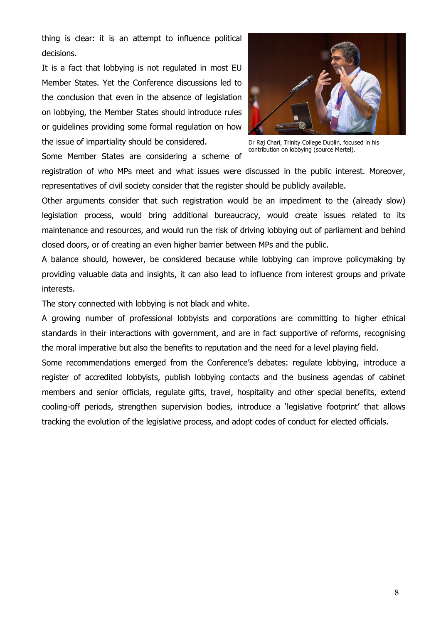thing is clear: it is an attempt to influence political decisions.

It is a fact that lobbying is not regulated in most EU Member States. Yet the Conference discussions led to the conclusion that even in the absence of legislation on lobbying, the Member States should introduce rules or guidelines providing some formal regulation on how the issue of impartiality should be considered.



Dr Raj Chari, Trinity College Dublin, focused in his contribution on lobbying (source Mertel).

Some Member States are considering a scheme of

registration of who MPs meet and what issues were discussed in the public interest. Moreover, representatives of civil society consider that the register should be publicly available.

Other arguments consider that such registration would be an impediment to the (already slow) legislation process, would bring additional bureaucracy, would create issues related to its maintenance and resources, and would run the risk of driving lobbying out of parliament and behind closed doors, or of creating an even higher barrier between MPs and the public.

A balance should, however, be considered because while lobbying can improve policymaking by providing valuable data and insights, it can also lead to influence from interest groups and private interests.

The story connected with lobbying is not black and white.

A growing number of professional lobbyists and corporations are committing to higher ethical standards in their interactions with government, and are in fact supportive of reforms, recognising the moral imperative but also the benefits to reputation and the need for a level playing field.

<span id="page-7-0"></span>Some recommendations emerged from the Conference's debates: regulate lobbying, introduce a register of accredited lobbyists, publish lobbying contacts and the business agendas of cabinet members and senior officials, regulate gifts, travel, hospitality and other special benefits, extend cooling-off periods, strengthen supervision bodies, introduce a 'legislative footprint' that allows tracking the evolution of the legislative process, and adopt codes of conduct for elected officials.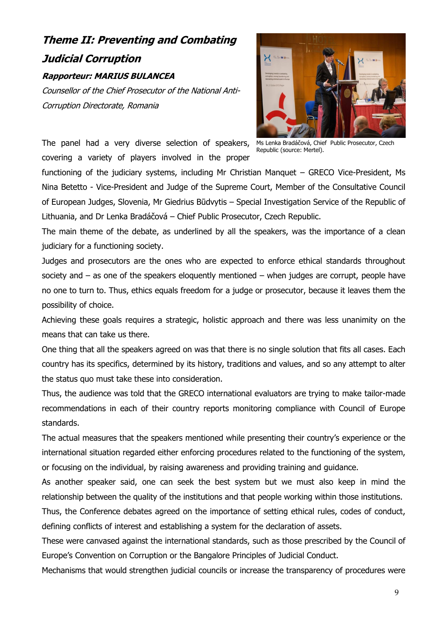## **Theme II: Preventing and Combating Judicial Corruption Rapporteur: MARIUS BULANCEA**

Counsellor of the Chief Prosecutor of the National Anti-Corruption Directorate, Romania



The panel had a very diverse selection of speakers, Ms Lenka Bradáčová, Chief Public Prosecutor, Czech covering a variety of players involved in the proper

Republic (source: Mertel).

functioning of the judiciary systems, including Mr Christian Manquet – GRECO Vice-President, Ms Nina Betetto - Vice-President and Judge of the Supreme Court, Member of the Consultative Council of European Judges, Slovenia, Mr Giedrius Būdvytis – Special Investigation Service of the Republic of Lithuania, and Dr Lenka Bradáčová – Chief Public Prosecutor, Czech Republic.

The main theme of the debate, as underlined by all the speakers, was the importance of a clean judiciary for a functioning society.

Judges and prosecutors are the ones who are expected to enforce ethical standards throughout society and  $-$  as one of the speakers eloquently mentioned  $-$  when judges are corrupt, people have no one to turn to. Thus, ethics equals freedom for a judge or prosecutor, because it leaves them the possibility of choice.

Achieving these goals requires a strategic, holistic approach and there was less unanimity on the means that can take us there.

One thing that all the speakers agreed on was that there is no single solution that fits all cases. Each country has its specifics, determined by its history, traditions and values, and so any attempt to alter the status quo must take these into consideration.

Thus, the audience was told that the GRECO international evaluators are trying to make tailor-made recommendations in each of their country reports monitoring compliance with Council of Europe standards.

The actual measures that the speakers mentioned while presenting their country's experience or the international situation regarded either enforcing procedures related to the functioning of the system, or focusing on the individual, by raising awareness and providing training and guidance.

As another speaker said, one can seek the best system but we must also keep in mind the relationship between the quality of the institutions and that people working within those institutions.

Thus, the Conference debates agreed on the importance of setting ethical rules, codes of conduct, defining conflicts of interest and establishing a system for the declaration of assets.

These were canvased against the international standards, such as those prescribed by the Council of Europe's Convention on Corruption or the Bangalore Principles of Judicial Conduct.

Mechanisms that would strengthen judicial councils or increase the transparency of procedures were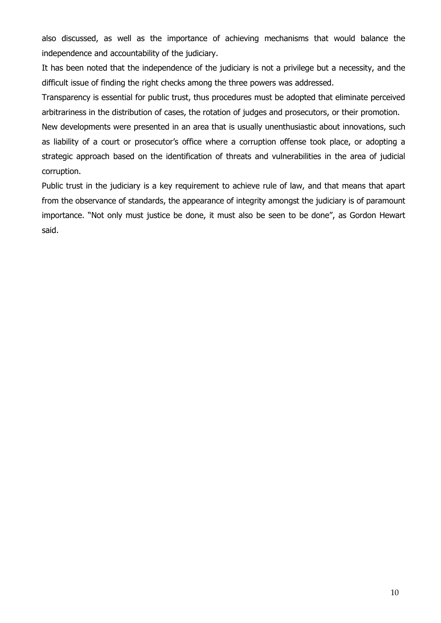also discussed, as well as the importance of achieving mechanisms that would balance the independence and accountability of the judiciary.

It has been noted that the independence of the judiciary is not a privilege but a necessity, and the difficult issue of finding the right checks among the three powers was addressed.

Transparency is essential for public trust, thus procedures must be adopted that eliminate perceived arbitrariness in the distribution of cases, the rotation of judges and prosecutors, or their promotion.

New developments were presented in an area that is usually unenthusiastic about innovations, such as liability of a court or prosecutor's office where a corruption offense took place, or adopting a strategic approach based on the identification of threats and vulnerabilities in the area of judicial corruption.

Public trust in the judiciary is a key requirement to achieve rule of law, and that means that apart from the observance of standards, the appearance of integrity amongst the judiciary is of paramount importance. "Not only must justice be done, it must also be seen to be done", as Gordon Hewart said.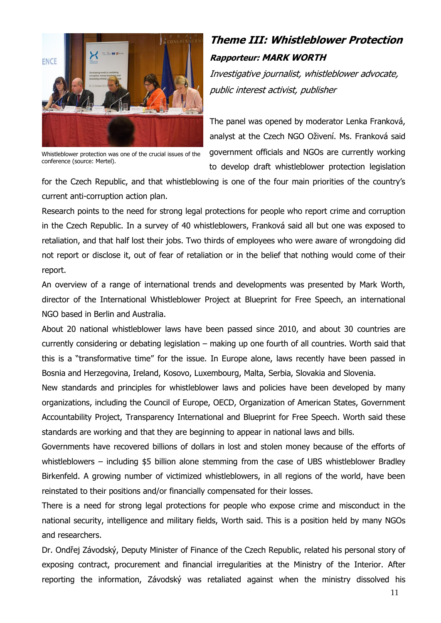

Whistleblower protection was one of the crucial issues of the conference (source: Mertel).

# <span id="page-10-0"></span>**Theme III: Whistleblower Protection Rapporteur: MARK WORTH**

Investigative journalist, whistleblower advocate, public interest activist, publisher

The panel was opened by moderator Lenka Franková, analyst at the Czech NGO Oživení. Ms. Franková said government officials and NGOs are currently working to develop draft whistleblower protection legislation

for the Czech Republic, and that whistleblowing is one of the four main priorities of the country's current anti-corruption action plan.

Research points to the need for strong legal protections for people who report crime and corruption in the Czech Republic. In a survey of 40 whistleblowers, Franková said all but one was exposed to retaliation, and that half lost their jobs. Two thirds of employees who were aware of wrongdoing did not report or disclose it, out of fear of retaliation or in the belief that nothing would come of their report.

An overview of a range of international trends and developments was presented by Mark Worth, director of the International Whistleblower Project at Blueprint for Free Speech, an international NGO based in Berlin and Australia.

About 20 national whistleblower laws have been passed since 2010, and about 30 countries are currently considering or debating legislation – making up one fourth of all countries. Worth said that this is a "transformative time" for the issue. In Europe alone, laws recently have been passed in Bosnia and Herzegovina, Ireland, Kosovo, Luxembourg, Malta, Serbia, Slovakia and Slovenia.

New standards and principles for whistleblower laws and policies have been developed by many organizations, including the Council of Europe, OECD, Organization of American States, Government Accountability Project, Transparency International and Blueprint for Free Speech. Worth said these standards are working and that they are beginning to appear in national laws and bills.

Governments have recovered billions of dollars in lost and stolen money because of the efforts of whistleblowers – including \$5 billion alone stemming from the case of UBS whistleblower Bradley Birkenfeld. A growing number of victimized whistleblowers, in all regions of the world, have been reinstated to their positions and/or financially compensated for their losses.

There is a need for strong legal protections for people who expose crime and misconduct in the national security, intelligence and military fields, Worth said. This is a position held by many NGOs and researchers.

Dr. Ondřej Závodský, Deputy Minister of Finance of the Czech Republic, related his personal story of exposing contract, procurement and financial irregularities at the Ministry of the Interior. After reporting the information, Závodský was retaliated against when the ministry dissolved his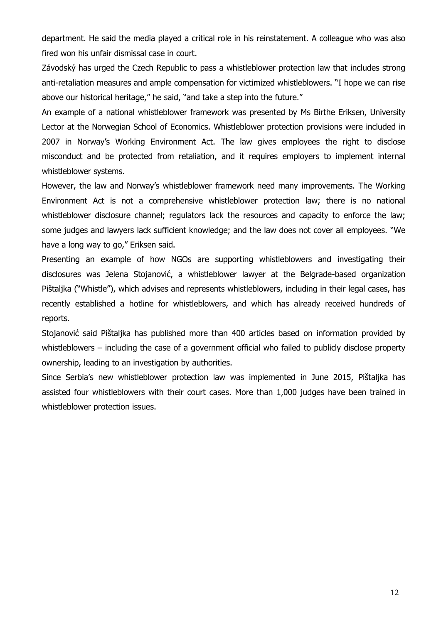department. He said the media played a critical role in his reinstatement. A colleague who was also fired won his unfair dismissal case in court.

Závodský has urged the Czech Republic to pass a whistleblower protection law that includes strong anti-retaliation measures and ample compensation for victimized whistleblowers. "I hope we can rise above our historical heritage," he said, "and take a step into the future."

An example of a national whistleblower framework was presented by Ms Birthe Eriksen, University Lector at the Norwegian School of Economics. Whistleblower protection provisions were included in 2007 in Norway's Working Environment Act. The law gives employees the right to disclose misconduct and be protected from retaliation, and it requires employers to implement internal whistleblower systems.

However, the law and Norway's whistleblower framework need many improvements. The Working Environment Act is not a comprehensive whistleblower protection law; there is no national whistleblower disclosure channel; regulators lack the resources and capacity to enforce the law; some judges and lawyers lack sufficient knowledge; and the law does not cover all employees. "We have a long way to go," Eriksen said.

Presenting an example of how NGOs are supporting whistleblowers and investigating their disclosures was Jelena Stojanović, a whistleblower lawyer at the Belgrade-based organization Pištaljka ("Whistle"), which advises and represents whistleblowers, including in their legal cases, has recently established a hotline for whistleblowers, and which has already received hundreds of reports.

Stojanović said Pištaljka has published more than 400 articles based on information provided by whistleblowers – including the case of a government official who failed to publicly disclose property ownership, leading to an investigation by authorities.

<span id="page-11-0"></span>Since Serbia's new whistleblower protection law was implemented in June 2015, Pištaljka has assisted four whistleblowers with their court cases. More than 1,000 judges have been trained in whistleblower protection issues.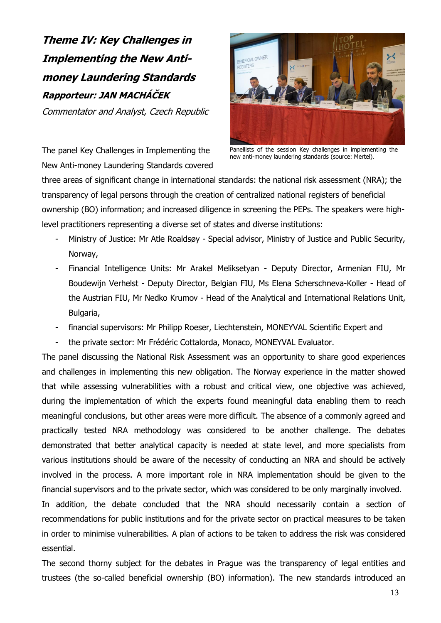**Theme IV: Key Challenges in Implementing the New Antimoney Laundering Standards Rapporteur: JAN MACHÁČEK**

Commentator and Analyst, Czech Republic



The panel Key Challenges in Implementing the New Anti-money Laundering Standards covered

Panellists of the session Key challenges in implementing the new anti-money laundering standards (source: Mertel).

three areas of significant change in international standards: the national risk assessment (NRA); the transparency of legal persons through the creation of centralized national registers of beneficial ownership (BO) information; and increased diligence in screening the PEPs. The speakers were highlevel practitioners representing a diverse set of states and diverse institutions:

- Ministry of Justice: Mr Atle Roaldsøy Special advisor, Ministry of Justice and Public Security, Norway,
- Financial Intelligence Units: Mr Arakel Meliksetyan Deputy Director, Armenian FIU, Mr Boudewijn Verhelst - Deputy Director, Belgian FIU, Ms Elena Scherschneva-Koller - Head of the Austrian FIU, Mr Nedko Krumov - Head of the Analytical and International Relations Unit, Bulgaria,
- financial supervisors: Mr Philipp Roeser, Liechtenstein, MONEYVAL Scientific Expert and
- the private sector: Mr Frédéric Cottalorda, Monaco, MONEYVAL Evaluator.

The panel discussing the National Risk Assessment was an opportunity to share good experiences and challenges in implementing this new obligation. The Norway experience in the matter showed that while assessing vulnerabilities with a robust and critical view, one objective was achieved, during the implementation of which the experts found meaningful data enabling them to reach meaningful conclusions, but other areas were more difficult. The absence of a commonly agreed and practically tested NRA methodology was considered to be another challenge. The debates demonstrated that better analytical capacity is needed at state level, and more specialists from various institutions should be aware of the necessity of conducting an NRA and should be actively involved in the process. A more important role in NRA implementation should be given to the financial supervisors and to the private sector, which was considered to be only marginally involved.

In addition, the debate concluded that the NRA should necessarily contain a section of recommendations for public institutions and for the private sector on practical measures to be taken in order to minimise vulnerabilities. A plan of actions to be taken to address the risk was considered essential.

The second thorny subject for the debates in Prague was the transparency of legal entities and trustees (the so-called beneficial ownership (BO) information). The new standards introduced an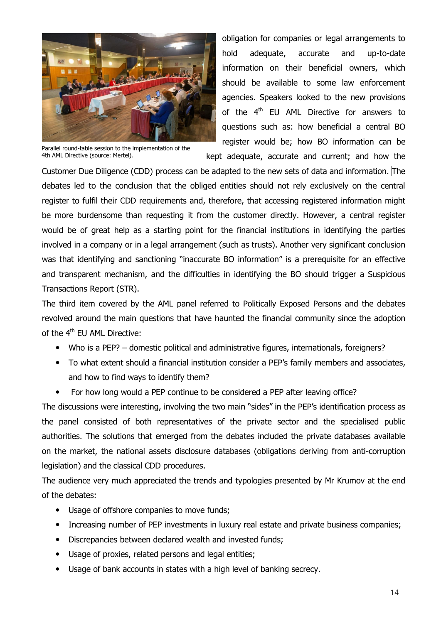

Parallel round-table session to the implementation of the 4th AML Directive (source: Mertel).

obligation for companies or legal arrangements to hold adequate, accurate and up-to-date information on their beneficial owners, which should be available to some law enforcement agencies. Speakers looked to the new provisions of the  $4<sup>th</sup>$  EU AML Directive for answers to questions such as: how beneficial a central BO register would be; how BO information can be

kept adequate, accurate and current; and how the

Customer Due Diligence (CDD) process can be adapted to the new sets of data and information. The debates led to the conclusion that the obliged entities should not rely exclusively on the central register to fulfil their CDD requirements and, therefore, that accessing registered information might be more burdensome than requesting it from the customer directly. However, a central register would be of great help as a starting point for the financial institutions in identifying the parties involved in a company or in a legal arrangement (such as trusts). Another very significant conclusion was that identifying and sanctioning "inaccurate BO information" is a prerequisite for an effective and transparent mechanism, and the difficulties in identifying the BO should trigger a Suspicious Transactions Report (STR).

The third item covered by the AML panel referred to Politically Exposed Persons and the debates revolved around the main questions that have haunted the financial community since the adoption of the 4<sup>th</sup> EU AML Directive:

- Who is a PEP? domestic political and administrative figures, internationals, foreigners?
- To what extent should a financial institution consider a PEP's family members and associates, and how to find ways to identify them?
- For how long would a PEP continue to be considered a PEP after leaving office?

The discussions were interesting, involving the two main "sides" in the PEP's identification process as the panel consisted of both representatives of the private sector and the specialised public authorities. The solutions that emerged from the debates included the private databases available on the market, the national assets disclosure databases (obligations deriving from anti-corruption legislation) and the classical CDD procedures.

The audience very much appreciated the trends and typologies presented by Mr Krumov at the end of the debates:

- Usage of offshore companies to move funds;
- Increasing number of PEP investments in luxury real estate and private business companies;
- Discrepancies between declared wealth and invested funds;
- Usage of proxies, related persons and legal entities;
- <span id="page-13-0"></span>Usage of bank accounts in states with a high level of banking secrecy.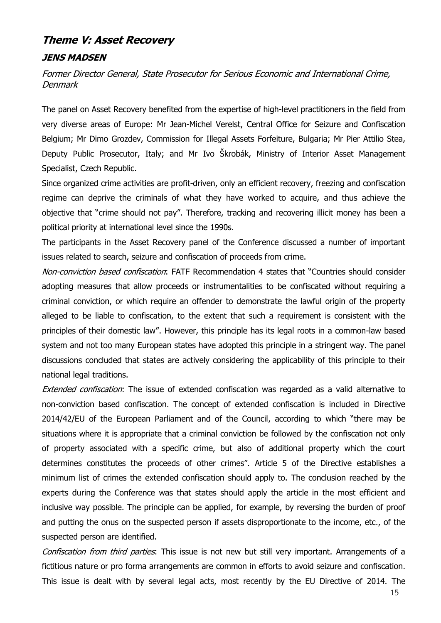## **Theme V: Asset Recovery**

#### **JENS MADSEN**

Former Director General, State Prosecutor for Serious Economic and International Crime, **Denmark** 

The panel on Asset Recovery benefited from the expertise of high-level practitioners in the field from very diverse areas of Europe: Mr Jean-Michel Verelst, Central Office for Seizure and Confiscation Belgium; Mr Dimo Grozdev, Commission for Illegal Assets Forfeiture, Bulgaria; Mr Pier Attilio Stea, Deputy Public Prosecutor, Italy; and Mr Ivo Škrobák, Ministry of Interior Asset Management Specialist, Czech Republic.

Since organized crime activities are profit-driven, only an efficient recovery, freezing and confiscation regime can deprive the criminals of what they have worked to acquire, and thus achieve the objective that "crime should not pay". Therefore, tracking and recovering illicit money has been a political priority at international level since the 1990s.

The participants in the Asset Recovery panel of the Conference discussed a number of important issues related to search, seizure and confiscation of proceeds from crime.

Non-conviction based confiscation: FATF Recommendation 4 states that "Countries should consider adopting measures that allow proceeds or instrumentalities to be confiscated without requiring a criminal conviction, or which require an offender to demonstrate the lawful origin of the property alleged to be liable to confiscation, to the extent that such a requirement is consistent with the principles of their domestic law". However, this principle has its legal roots in a common-law based system and not too many European states have adopted this principle in a stringent way. The panel discussions concluded that states are actively considering the applicability of this principle to their national legal traditions.

Extended confiscation: The issue of extended confiscation was regarded as a valid alternative to non-conviction based confiscation. The concept of extended confiscation is included in Directive 2014/42/EU of the European Parliament and of the Council, according to which "there may be situations where it is appropriate that a criminal conviction be followed by the confiscation not only of property associated with a specific crime, but also of additional property which the court determines constitutes the proceeds of other crimes". Article 5 of the Directive establishes a minimum list of crimes the extended confiscation should apply to. The conclusion reached by the experts during the Conference was that states should apply the article in the most efficient and inclusive way possible. The principle can be applied, for example, by reversing the burden of proof and putting the onus on the suspected person if assets disproportionate to the income, etc., of the suspected person are identified.

Confiscation from third parties. This issue is not new but still very important. Arrangements of a fictitious nature or pro forma arrangements are common in efforts to avoid seizure and confiscation. This issue is dealt with by several legal acts, most recently by the EU Directive of 2014. The